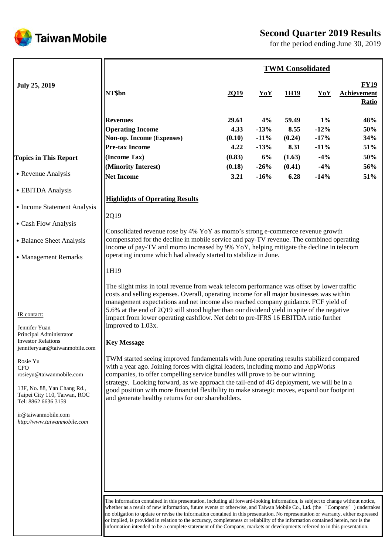

Taiwan Mobile

for the period ending June 30, 2019

|                                                                                                                                                                                                                                                                                                                         |                                                                                                                                                                                                                                                                                                                                                                                                                                                                                                                                                                                                                                                                                                                                                                                                                                                                                                                                                                                                                                                                                                                                                                            |                                           |                                        | <b>TWM Consolidated</b>                   |                                              |                                            |
|-------------------------------------------------------------------------------------------------------------------------------------------------------------------------------------------------------------------------------------------------------------------------------------------------------------------------|----------------------------------------------------------------------------------------------------------------------------------------------------------------------------------------------------------------------------------------------------------------------------------------------------------------------------------------------------------------------------------------------------------------------------------------------------------------------------------------------------------------------------------------------------------------------------------------------------------------------------------------------------------------------------------------------------------------------------------------------------------------------------------------------------------------------------------------------------------------------------------------------------------------------------------------------------------------------------------------------------------------------------------------------------------------------------------------------------------------------------------------------------------------------------|-------------------------------------------|----------------------------------------|-------------------------------------------|----------------------------------------------|--------------------------------------------|
| <b>July 25, 2019</b>                                                                                                                                                                                                                                                                                                    | NT\$bn                                                                                                                                                                                                                                                                                                                                                                                                                                                                                                                                                                                                                                                                                                                                                                                                                                                                                                                                                                                                                                                                                                                                                                     | 2Q19                                      | YoY                                    | 1H19                                      | YoY                                          | <b>FY19</b><br><b>Achievement</b><br>Ratio |
| <b>Topics in This Report</b>                                                                                                                                                                                                                                                                                            | <b>Revenues</b><br><b>Operating Income</b><br>Non-op. Income (Expenses)<br><b>Pre-tax Income</b><br>(Income Tax)                                                                                                                                                                                                                                                                                                                                                                                                                                                                                                                                                                                                                                                                                                                                                                                                                                                                                                                                                                                                                                                           | 29.61<br>4.33<br>(0.10)<br>4.22<br>(0.83) | 4%<br>$-13%$<br>$-11%$<br>$-13%$<br>6% | 59.49<br>8.55<br>(0.24)<br>8.31<br>(1.63) | $1\%$<br>$-12%$<br>$-17%$<br>$-11%$<br>$-4%$ | 48%<br>50%<br>34%<br>51%<br>50%            |
| • Revenue Analysis                                                                                                                                                                                                                                                                                                      | (Minority Interest)<br><b>Net Income</b>                                                                                                                                                                                                                                                                                                                                                                                                                                                                                                                                                                                                                                                                                                                                                                                                                                                                                                                                                                                                                                                                                                                                   | (0.18)<br>3.21                            | $-26%$<br>$-16%$                       | (0.41)<br>6.28                            | $-4%$<br>$-14%$                              | 56%<br>51%                                 |
| • EBITDA Analysis<br>• Income Statement Analysis<br>• Cash Flow Analysis<br>• Balance Sheet Analysis<br>• Management Remarks                                                                                                                                                                                            | <b>Highlights of Operating Results</b><br>2Q19<br>Consolidated revenue rose by 4% YoY as momo's strong e-commerce revenue growth<br>compensated for the decline in mobile service and pay-TV revenue. The combined operating<br>income of pay-TV and momo increased by 9% YoY, helping mitigate the decline in telecom<br>operating income which had already started to stabilize in June.                                                                                                                                                                                                                                                                                                                                                                                                                                                                                                                                                                                                                                                                                                                                                                                 |                                           |                                        |                                           |                                              |                                            |
| IR contact:<br>Jennifer Yuan<br>Principal Administrator<br><b>Investor Relations</b><br>jenniferyuan@taiwanmobile.com<br>Rosie Yu<br><b>CFO</b><br>rosieyu@taiwanmobile.com<br>13F, No. 88, Yan Chang Rd.,<br>Taipei City 110, Taiwan, ROC<br>Tel: 8862 6636 3159<br>ir@taiwanmobile.com<br>http://www.taiwanmobile.com | 1H19<br>The slight miss in total revenue from weak telecom performance was offset by lower traffic<br>costs and selling expenses. Overall, operating income for all major businesses was within<br>management expectations and net income also reached company guidance. FCF yield of<br>5.6% at the end of 2Q19 still stood higher than our dividend yield in spite of the negative<br>impact from lower operating cashflow. Net debt to pre-IFRS 16 EBITDA ratio further<br>improved to 1.03x.<br><b>Key Message</b><br>TWM started seeing improved fundamentals with June operating results stabilized compared<br>with a year ago. Joining forces with digital leaders, including momo and AppWorks<br>companies, to offer compelling service bundles will prove to be our winning<br>strategy. Looking forward, as we approach the tail-end of 4G deployment, we will be in a<br>good position with more financial flexibility to make strategic moves, expand our footprint<br>and generate healthy returns for our shareholders.<br>The information contained in this presentation, including all forward-looking information, is subject to change without notice, |                                           |                                        |                                           |                                              |                                            |
|                                                                                                                                                                                                                                                                                                                         | whether as a result of new information, future events or otherwise, and Taiwan Mobile Co., Ltd. (the "Company") undertakes<br>no obligation to update or revise the information contained in this presentation. No representation or warranty, either expressed<br>or implied, is provided in relation to the accuracy, completeness or reliability of the information contained herein, nor is the                                                                                                                                                                                                                                                                                                                                                                                                                                                                                                                                                                                                                                                                                                                                                                        |                                           |                                        |                                           |                                              |                                            |

information intended to be a complete statement of the Company, markets or developments referred to in this presentation.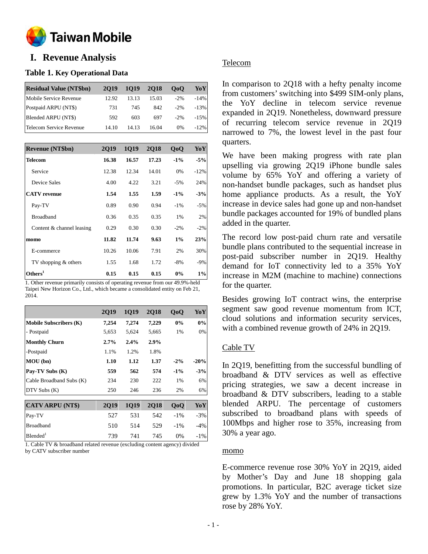

# **o I. Revenue Analysis**

### **Table 1. Key Operational Data**

| <b>Residual Value (NT\$bn)</b> | 2019  | 1019  | <b>2018</b> | 0 <sub>0</sub> | YoY      |
|--------------------------------|-------|-------|-------------|----------------|----------|
| Mobile Service Revenue         | 12.92 | 13.13 | 15.03       | $-2\%$         | $-14\%$  |
| Postpaid ARPU (NT\$)           | 731   | 745   | 842         | $-2\%$         | $-13%$   |
| Blended ARPU (NT\$)            | 592   | 603   | 697         | $-2\%$         | $-1.5\%$ |
| Telecom Service Revenue        | 14.10 | 14.13 | 16.04       | $0\%$          | $-12\%$  |

| <b>Revenue (NT\$bn)</b>   | 2019  | 1019  | 2018  | QoQ    | YoY    |
|---------------------------|-------|-------|-------|--------|--------|
| <b>Telecom</b>            | 16.38 | 16.57 | 17.23 | $-1\%$ | $-5%$  |
| Service                   | 12.38 | 12.34 | 14.01 | 0%     | $-12%$ |
| Device Sales              | 4.00  | 4.22  | 3.21  | $-5\%$ | 24%    |
| <b>CATV</b> revenue       | 1.54  | 1.55  | 1.59  | $-1\%$ | $-3%$  |
| Pay-TV                    | 0.89  | 0.90  | 0.94  | $-1\%$ | $-5%$  |
| <b>Broadband</b>          | 0.36  | 0.35  | 0.35  | 1%     | 2%     |
| Content & channel leasing | 0.29  | 0.30  | 0.30  | $-2\%$ | $-2%$  |
| momo                      | 11.82 | 11.74 | 9.63  | $1\%$  | 23%    |
| E-commerce                | 10.26 | 10.06 | 7.91  | 2%     | 30%    |
| TV shopping & others      | 1.55  | 1.68  | 1.72  | $-8%$  | $-9%$  |
| Others <sup>1</sup>       | 0.15  | 0.15  | 0.15  | $0\%$  | $1\%$  |

1. Other revenue primarily consists of operating revenue from our 49.9%-held Taipei New Horizon Co., Ltd., which became a consolidated entity on Feb 21, 2014.

|                               | <b>2Q19</b> | 1Q19  | <b>2Q18</b> | QoQ    | YoY    |
|-------------------------------|-------------|-------|-------------|--------|--------|
| <b>Mobile Subscribers (K)</b> | 7,254       | 7,274 | 7,229       | 0%     | 0%     |
| - Postpaid                    | 5,653       | 5,624 | 5,665       | 1%     | 0%     |
| <b>Monthly Churn</b>          | 2.7%        | 2.4%  | $2.9\%$     |        |        |
| -Postpaid                     | 1.1%        | 1.2%  | 1.8%        |        |        |
| MOU (bn)                      | 1.10        | 1.12  | 1.37        | $-2%$  | $-20%$ |
| Pay-TV Subs (K)               | 559         | 562   | 574         | $-1\%$ | $-3%$  |
| Cable Broadband Subs (K)      | 234         | 230   | 222         | 1%     | 6%     |
| DTV Subs(K)                   | 250         | 246   | 236         | 2%     | 6%     |
|                               |             |       |             |        |        |
| <b>CATV ARPU (NT\$)</b>       | 2019        | 1019  | <b>2018</b> | QoQ    | YoY    |
| Pay-TV                        | 527         | 531   | 542         | $-1\%$ | $-3%$  |
| <b>Broadband</b>              | 510         | 514   | 529         | $-1\%$ | $-4%$  |
| Blended <sup>1</sup>          | 739         | 741   | 745         | $0\%$  | $-1\%$ |

1. Cable TV & broadband related revenue (excluding content agency) divided by CATV subscriber number

### Telecom

In comparison to 2Q18 with a hefty penalty income from customers' switching into \$499 SIM-only plans, the YoY decline in telecom service revenue expanded in 2Q19. Nonetheless, downward pressure of recurring telecom service revenue in 2Q19 narrowed to 7%, the lowest level in the past four quarters.

We have been making progress with rate plan upselling via growing 2Q19 iPhone bundle sales volume by 65% YoY and offering a variety of non-handset bundle packages, such as handset plus home appliance products. As a result, the YoY increase in device sales had gone up and non-handset bundle packages accounted for 19% of bundled plans added in the quarter.

The record low post-paid churn rate and versatile bundle plans contributed to the sequential increase in post-paid subscriber number in 2Q19. Healthy demand for IoT connectivity led to a 35% YoY increase in M2M (machine to machine) connections for the quarter.

Besides growing IoT contract wins, the enterprise segment saw good revenue momentum from ICT, cloud solutions and information security services, with a combined revenue growth of 24% in 2Q19.

### Cable TV

In 2Q19, benefitting from the successful bundling of broadband & DTV services as well as effective pricing strategies, we saw a decent increase in broadband & DTV subscribers, leading to a stable blended ARPU. The percentage of customers subscribed to broadband plans with speeds of 100Mbps and higher rose to 35%, increasing from 30% a year ago.

#### momo

E-commerce revenue rose 30% YoY in 2Q19, aided by Mother's Day and June 18 shopping gala promotions. In particular, B2C average ticket size grew by 1.3% YoY and the number of transactions rose by 28% YoY.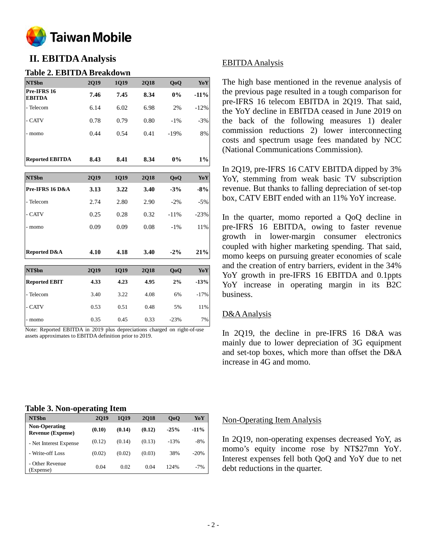

# **II. EBITDA Analysis**

### **Table 2. EBITDA Breakdown**

| NT\$bn                       | 2Q19        | <b>1Q19</b> | <b>2Q18</b> | QoQ    | YoY    |
|------------------------------|-------------|-------------|-------------|--------|--------|
| Pre-IFRS 16<br><b>EBITDA</b> | 7.46        | 7.45        | 8.34        | 0%     | $-11%$ |
| - Telecom                    | 6.14        | 6.02        | 6.98        | 2%     | $-12%$ |
| - CATV                       | 0.78        | 0.79        | 0.80        | $-1\%$ | $-3%$  |
| - momo                       | 0.44        | 0.54        | 0.41        | $-19%$ | 8%     |
| <b>Reported EBITDA</b>       | 8.43        | 8.41        | 8.34        | $0\%$  | $1\%$  |
| NT\$bn                       | 2Q19        | 1Q19        | <b>2Q18</b> | QoQ    | YoY    |
| Pre-IFRS 16 D&A              | 3.13        | 3.22        | 3.40        | $-3%$  | $-8%$  |
| - Telecom                    | 2.74        | 2.80        | 2.90        | $-2\%$ | $-5%$  |
| - CATV                       | 0.25        | 0.28        | 0.32        | $-11%$ | $-23%$ |
| - momo                       | 0.09        | 0.09        | 0.08        | $-1\%$ | 11%    |
| <b>Reported D&amp;A</b>      | 4.10        | 4.18        | 3.40        | $-2\%$ | 21%    |
| NT\$bn                       | <b>2Q19</b> | 1Q19        | <b>2Q18</b> | QoQ    | YoY    |
| <b>Reported EBIT</b>         | 4.33        | 4.23        | 4.95        | 2%     | $-13%$ |
| - Telecom                    | 3.40        | 3.22        | 4.08        | 6%     | $-17%$ |
| - CATV                       | 0.53        | 0.51        | 0.48        | 5%     | 11%    |
| - momo                       | 0.35        | 0.45        | 0.33        | $-23%$ | 7%     |

Note: Reported EBITDA in 2019 plus depreciations charged on right-of-use assets approximates to EBITDA definition prior to 2019.

### EBITDA Analysis

The high base mentioned in the revenue analysis of the previous page resulted in a tough comparison for pre-IFRS 16 telecom EBITDA in 2Q19. That said, the YoY decline in EBITDA ceased in June 2019 on the back of the following measures 1) dealer commission reductions 2) lower interconnecting costs and spectrum usage fees mandated by NCC (National Communications Commission).

In 2Q19, pre-IFRS 16 CATV EBITDA dipped by 3% YoY, stemming from weak basic TV subscription revenue. But thanks to falling depreciation of set-top box, CATV EBIT ended with an 11% YoY increase.

In the quarter, momo reported a QoQ decline in pre-IFRS 16 EBITDA, owing to faster revenue growth in lower-margin consumer electronics coupled with higher marketing spending. That said, momo keeps on pursuing greater economies of scale and the creation of entry barriers, evident in the 34% YoY growth in pre-IFRS 16 EBITDA and 0.1ppts YoY increase in operating margin in its B2C business.

### D&AAnalysis

In 2Q19, the decline in pre-IFRS 16 D&A was mainly due to lower depreciation of 3G equipment and set-top boxes, which more than offset the D&A increase in 4G and momo.

#### **Table 3. Non-operating Item**

| NT\$bn                                           | 2019   | 1019   | <b>2018</b> | 0 <sub>0</sub> | YoY     |
|--------------------------------------------------|--------|--------|-------------|----------------|---------|
| <b>Non-Operating</b><br><b>Revenue (Expense)</b> | (0.10) | (0.14) | (0.12)      | $-25%$         | $-11\%$ |
| - Net Interest Expense                           | (0.12) | (0.14) | (0.13)      | $-13%$         | $-8%$   |
| - Write-off Loss                                 | (0.02) | (0.02) | (0.03)      | 38%            | $-20%$  |
| - Other Revenue<br>(Expense)                     | 0.04   | 0.02   | 0.04        | 124%           | $-7%$   |

#### Non-Operating Item Analysis

In 2Q19, non-operating expenses decreased YoY, as momo's equity income rose by NT\$27mn YoY. Interest expenses fell both QoQ and YoY due to net debt reductions in the quarter.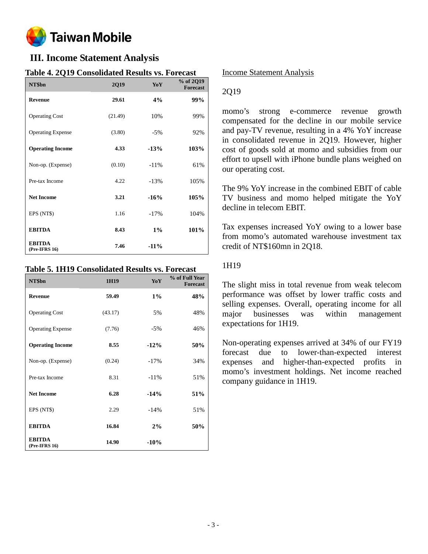

# **III. Income Statement Analysis**

| Table 4. 2017 Consonuated Results vs. Forecast<br>NT\$bn | 2Q19    | YoY    | % of 2Q19<br><b>Forecast</b> |
|----------------------------------------------------------|---------|--------|------------------------------|
| <b>Revenue</b>                                           | 29.61   | 4%     | 99%                          |
| <b>Operating Cost</b>                                    | (21.49) | 10%    | 99%                          |
| <b>Operating Expense</b>                                 | (3.80)  | $-5%$  | 92%                          |
| <b>Operating Income</b>                                  | 4.33    | $-13%$ | 103%                         |
| Non-op. (Expense)                                        | (0.10)  | $-11%$ | 61%                          |
| Pre-tax Income                                           | 4.22    | $-13%$ | 105%                         |
| <b>Net Income</b>                                        | 3.21    | $-16%$ | 105%                         |
| EPS (NT\$)                                               | 1.16    | $-17%$ | 104%                         |
| <b>EBITDA</b>                                            | 8.43    | $1\%$  | 101%                         |
| <b>EBITDA</b><br>(Pre-IFRS 16)                           | 7.46    | $-11%$ |                              |

### **Table 4. 2Q19 Consolidated Results vs. Forecast**

### **Table 5. 1H19 Consolidated Results vs. Forecast**

| NT\$bn                         | 1H19    | YoY     | % of Full Year<br><b>Forecast</b> |
|--------------------------------|---------|---------|-----------------------------------|
| <b>Revenue</b>                 | 59.49   | $1\%$   | 48%                               |
| <b>Operating Cost</b>          | (43.17) | 5%      | 48%                               |
| <b>Operating Expense</b>       | (7.76)  | $-5%$   | 46%                               |
| <b>Operating Income</b>        | 8.55    | $-12%$  | 50%                               |
| Non-op. (Expense)              | (0.24)  | $-17\%$ | 34%                               |
| Pre-tax Income                 | 8.31    | $-11\%$ | 51%                               |
| <b>Net Income</b>              | 6.28    | $-14%$  | 51%                               |
| EPS (NT\$)                     | 2.29    | $-14%$  | 51%                               |
| <b>EBITDA</b>                  | 16.84   | 2%      | 50%                               |
| <b>EBITDA</b><br>(Pre-IFRS 16) | 14.90   | $-10%$  |                                   |

### Income Statement Analysis

### 2Q19

momo's strong e-commerce revenue growth compensated for the decline in our mobile service and pay-TV revenue, resulting in a 4% YoY increase in consolidated revenue in 2Q19. However, higher cost of goods sold at momo and subsidies from our effort to upsell with iPhone bundle plans weighed on our operating cost.

The 9% YoY increase in the combined EBIT of cable TV business and momo helped mitigate the YoY decline in telecom EBIT.

Tax expenses increased YoY owing to a lower base from momo's automated warehouse investment tax credit of NT\$160mn in 2Q18.

### 1H19

The slight miss in total revenue from weak telecom performance was offset by lower traffic costs and selling expenses. Overall, operating income for all major businesses was within management expectations for 1H19.

Non-operating expenses arrived at 34% of our FY19 forecast due to lower-than-expected interest expenses and higher-than-expected profits in momo's investment holdings. Net income reached company guidance in 1H19.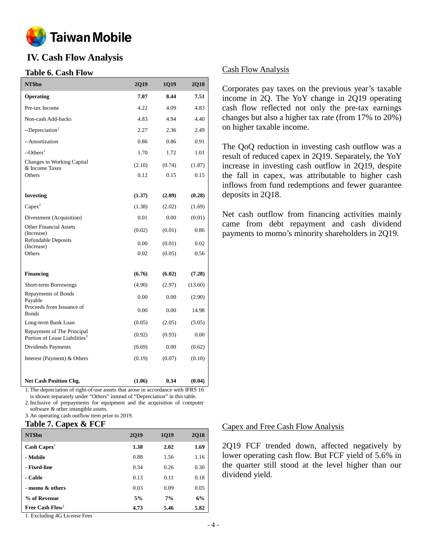

# **IV. Cash Flow Analysis**

### **Table 6. Cash Flow**

| NT\$bn                                                                  | 2Q19   | 1Q19   | <b>2Q18</b> |
|-------------------------------------------------------------------------|--------|--------|-------------|
| <b>Operating</b>                                                        | 7.07   | 8.44   | 7.51        |
| Pre-tax Income                                                          | 4.22   | 4.09   | 4.83        |
| Non-cash Add-backs                                                      | 4.83   | 4.94   | 4.40        |
| --Depreciation <sup>1</sup>                                             | 2.27   | 2.36   | 2.49        |
| --Amortization                                                          | 0.86   | 0.86   | 0.91        |
| $-$ Others <sup>1</sup>                                                 | 1.70   | 1.72   | 1.01        |
| Changes in Working Capital<br>& Income Taxes                            | (2.10) | (0.74) | (1.87)      |
| Others                                                                  | 0.12   | 0.15   | 0.15        |
|                                                                         |        |        |             |
| <b>Investing</b>                                                        | (1.37) | (2.09) | (0.28)      |
| $Capex^2$                                                               | (1.38) | (2.02) | (1.69)      |
| Divestment (Acquisition)                                                | 0.01   | 0.00   | (0.01)      |
| <b>Other Financial Assets</b><br>(Increase)                             | (0.02) | (0.01) | 0.86        |
| <b>Refundable Deposits</b><br>(Increase)                                | 0.00   | (0.01) | 0.02        |
| Others                                                                  | 0.02   | (0.05) | 0.56        |
|                                                                         |        |        |             |
| <b>Financing</b>                                                        | (6.76) | (6.02) | (7.28)      |
| Short-term Borrowings                                                   | (4.90) | (2.97) | (13.60)     |
| Repayments of Bonds<br>Payable                                          | 0.00   | 0.00   | (2.90)      |
| Proceeds from Issuance of<br><b>Bonds</b>                               | 0.00   | 0.00   | 14.98       |
| Long-term Bank Loan                                                     | (0.05) | (2.05) | (5.05)      |
| Repayment of The Principal<br>Portion of Lease Liabilities <sup>3</sup> | (0.92) | (0.93) | 0.00        |
| Dividends Payments                                                      | (0.69) | 0.00   | (0.62)      |
| Interest (Payment) & Others                                             | (0.19) | (0.07) | (0.10)      |
|                                                                         |        |        |             |
| <b>Net Cash Position Chg.</b>                                           | (1.06) | 0.34   | (0.04)      |

1.The depreciation of right-of-use assets that arose in accordance with IFRS 16

is shown separately under "Others" instead of "Depreciation" in this table. 2.Inclusive of prepayments for equipment and the acquisition of computer

software & other intangible assets. 3.An operating cash outflow item prior to 2019.

#### **Table 7. Capex & FCF**

| NT\$bn                | <b>2Q19</b> | <b>1Q19</b> | <b>2Q18</b> |
|-----------------------|-------------|-------------|-------------|
| $\text{Cash Capex}^1$ | 1.38        | 2.02        | 1.69        |
| - Mobile              | 0.88        | 1.56        | 1.16        |
| - Fixed-line          | 0.34        | 0.26        | 0.30        |
| - Cable               | 0.13        | 0.11        | 0.18        |
| - momo & others       | 0.03        | 0.09        | 0.05        |
| % of Revenue          | 5%          | 7%          | 6%          |
| Free Cash $Flow1$     | 4.73        | 5.46        | 5.82        |

1. Excluding 4G License Fees

### Cash Flow Analysis

Corporates pay taxes on the previous year's taxable income in 2Q. The YoY change in 2Q19 operating cash flow reflected not only the pre-tax earnings changes but also a higher tax rate (from 17% to 20%) on higher taxable income.

The QoQ reduction in investing cash outflow was a result of reduced capex in 2Q19. Separately, the YoY increase in investing cash outflow in 2Q19, despite the fall in capex, was attributable to higher cash inflows from fund redemptions and fewer guarantee deposits in 2Q18.

Net cash outflow from financing activities mainly came from debt repayment and cash dividend payments to momo's minority shareholders in 2Q19.

### Capex and Free Cash Flow Analysis

2Q19 FCF trended down, affected negatively by lower operating cash flow. But FCF yield of 5.6% in the quarter still stood at the level higher than our dividend yield.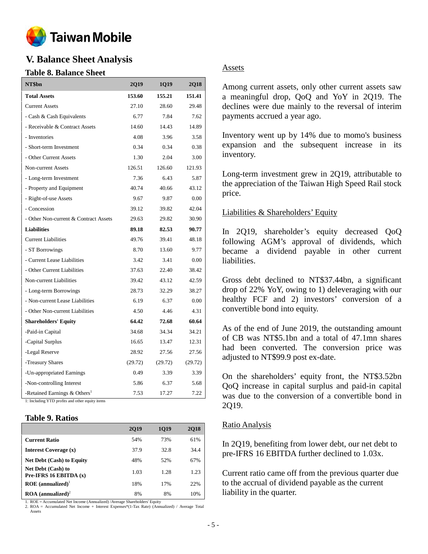

# **V. Balance Sheet Analysis**

### **Table 8. Balance Sheet**

| NT\$bn                                                                                      | <b>2Q19</b> | <b>1Q19</b> | 2Q18    |
|---------------------------------------------------------------------------------------------|-------------|-------------|---------|
| <b>Total Assets</b>                                                                         | 153.60      | 155.21      | 151.41  |
| <b>Current Assets</b>                                                                       | 27.10       | 28.60       | 29.48   |
| - Cash & Cash Equivalents                                                                   | 6.77        | 7.84        | 7.62    |
| - Receivable & Contract Assets                                                              | 14.60       | 14.43       | 14.89   |
| - Inventories                                                                               | 4.08        | 3.96        | 3.58    |
| - Short-term Investment                                                                     | 0.34        | 0.34        | 0.38    |
| - Other Current Assets                                                                      | 1.30        | 2.04        | 3.00    |
| <b>Non-current Assets</b>                                                                   | 126.51      | 126.60      | 121.93  |
| - Long-term Investment                                                                      | 7.36        | 6.43        | 5.87    |
| - Property and Equipment                                                                    | 40.74       | 40.66       | 43.12   |
| - Right-of-use Assets                                                                       | 9.67        | 9.87        | 0.00    |
| - Concession                                                                                | 39.12       | 39.82       | 42.04   |
| - Other Non-current & Contract Assets                                                       | 29.63       | 29.82       | 30.90   |
| <b>Liabilities</b>                                                                          | 89.18       | 82.53       | 90.77   |
| <b>Current Liabilities</b>                                                                  | 49.76       | 39.41       | 48.18   |
| - ST Borrowings                                                                             | 8.70        | 13.60       | 9.77    |
| - Current Lease Liabilities                                                                 | 3.42        | 3.41        | 0.00    |
| - Other Current Liabilities                                                                 | 37.63       | 22.40       | 38.42   |
| Non-current Liabilities                                                                     | 39.42       | 43.12       | 42.59   |
| - Long-term Borrowings                                                                      | 28.73       | 32.29       | 38.27   |
| - Non-current Lease Liabilities                                                             | 6.19        | 6.37        | 0.00    |
| - Other Non-current Liabilities                                                             | 4.50        | 4.46        | 4.31    |
| <b>Shareholders' Equity</b>                                                                 | 64.42       | 72.68       | 60.64   |
| -Paid-in Capital                                                                            | 34.68       | 34.34       | 34.21   |
| -Capital Surplus                                                                            | 16.65       | 13.47       | 12.31   |
| -Legal Reserve                                                                              | 28.92       | 27.56       | 27.56   |
| -Treasury Shares                                                                            | (29.72)     | (29.72)     | (29.72) |
| -Un-appropriated Earnings                                                                   | 0.49        | 3.39        | 3.39    |
| -Non-controlling Interest                                                                   | 5.86        | 6.37        | 5.68    |
| -Retained Earnings & Others <sup>1</sup><br>1: Including YTD profits and other equity items | 7.53        | 17.27       | 7.22    |

### **Table 9. Ratios**

|                                                       | 2019 | 1019 | <b>2018</b> |
|-------------------------------------------------------|------|------|-------------|
| Current Ratio                                         | 54%  | 73%  | 61%         |
| Interest Coverage (x)                                 | 37.9 | 32.8 | 34.4        |
| <b>Net Debt (Cash) to Equity</b>                      | 48%  | 52%  | 67%         |
| <b>Net Debt (Cash) to</b><br>Pre-IFRS 16 EBITDA $(x)$ | 1.03 | 1.28 | 1.23        |
| $\textbf{ROE}$ (annualized) <sup>1</sup>              | 18%  | 17%  | 22%         |
| $\textbf{ROA}$ (annualized) <sup>2</sup>              | 8%   | 8%   | 10%         |

1. ROE = Accumulated Net Income (Annualized) /Average Shareholders' Equity 2. ROA = Accumulated Net Income + Interest Expenses\*(1-Tax Rate) (Annualized) / Average Total Assets

### Assets

Among current assets, only other current assets saw a meaningful drop, QoQ and YoY in 2Q19. The declines were due mainly to the reversal of interim payments accrued a year ago.

Inventory went up by 14% due to momo's business expansion and the subsequent increase in its inventory.

Long-term investment grew in 2Q19, attributable to the appreciation of the Taiwan High Speed Rail stock price.

### Liabilities & Shareholders' Equity

In 2Q19, shareholder's equity decreased QoQ following AGM's approval of dividends, which became a dividend payable in other current liabilities.

Gross debt declined to NT\$37.44bn, a significant drop of 22% YoY, owing to 1) deleveraging with our healthy FCF and 2) investors' conversion of a convertible bond into equity.

As of the end of June 2019, the outstanding amount of CB was NT\$5.1bn and a total of 47.1mn shares had been converted. The conversion price was adjusted to NT\$99.9 post ex-date.

On the shareholders' equity front, the NT\$3.52bn QoQ increase in capital surplus and paid-in capital was due to the conversion of a convertible bond in 2Q19.

#### Ratio Analysis

In 2Q19, benefiting from lower debt, our net debt to pre-IFRS 16 EBITDA further declined to 1.03x.

Current ratio came off from the previous quarter due to the accrual of dividend payable as the current liability in the quarter.